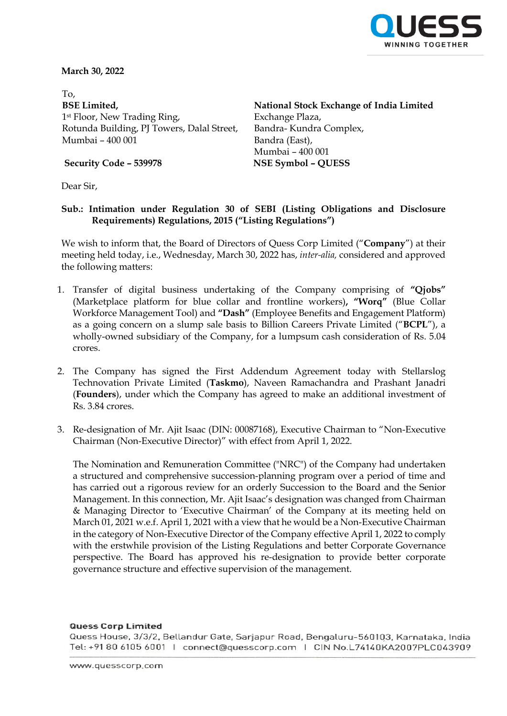

**March 30, 2022**

 To, **BSE Limited,** 1st Floor, New Trading Ring, Rotunda Building, PJ Towers, Dalal Street, Mumbai – 400 001

**National Stock Exchange of India Limited** Exchange Plaza, Bandra- Kundra Complex, Bandra (East), Mumbai – 400 001

**Security Code – 539978 NSE Symbol – QUESS**

Dear Sir,

## **Sub.: Intimation under Regulation 30 of SEBI (Listing Obligations and Disclosure Requirements) Regulations, 2015 ("Listing Regulations")**

We wish to inform that, the Board of Directors of Quess Corp Limited ("**Company**") at their meeting held today, i.e., Wednesday, March 30, 2022 has, *inter-alia,* considered and approved the following matters:

- 1. Transfer of digital business undertaking of the Company comprising of **"Qjobs"** (Marketplace platform for blue collar and frontline workers)**, "Worq"** (Blue Collar Workforce Management Tool) and **"Dash"** (Employee Benefits and Engagement Platform) as a going concern on a slump sale basis to Billion Careers Private Limited ("**BCPL**"), a wholly-owned subsidiary of the Company, for a lumpsum cash consideration of Rs. 5.04 crores.
- 2. The Company has signed the First Addendum Agreement today with Stellarslog Technovation Private Limited (**Taskmo**), Naveen Ramachandra and Prashant Janadri (**Founders**), under which the Company has agreed to make an additional investment of Rs. 3.84 crores.
- 3. Re-designation of Mr. Ajit Isaac (DIN: 00087168), Executive Chairman to "Non-Executive Chairman (Non-Executive Director)" with effect from April 1, 2022.

The Nomination and Remuneration Committee ("NRC") of the Company had undertaken a structured and comprehensive succession-planning program over a period of time and has carried out a rigorous review for an orderly Succession to the Board and the Senior Management. In this connection, Mr. Ajit Isaac's designation was changed from Chairman & Managing Director to 'Executive Chairman' of the Company at its meeting held on March 01, 2021 w.e.f. April 1, 2021 with a view that he would be a Non-Executive Chairman in the category of Non-Executive Director of the Company effective April 1, 2022 to comply with the erstwhile provision of the Listing Regulations and better Corporate Governance perspective. The Board has approved his re-designation to provide better corporate governance structure and effective supervision of the management.

#### **Quess Corp Limited**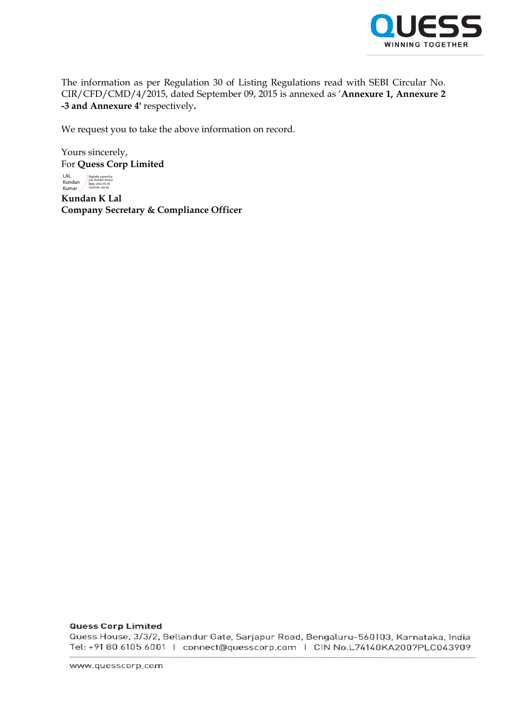

The information as per Regulation 30 of Listing Regulations read with SEBI Circular No. CIR/CFD/CMD/4/2015, dated September 09, 2015 is annexed as '**Annexure 1, Annexure 2 -3 and Annexure 4'** respectively**.** 

We request you to take the above information on record.

Yours sincerely, For **Quess Corp Limited**

LAL<br>Kundan<br>Kumar Digitally signed by LAL Kundan Kumar Date: 2022.03.30 16:05:44 +05'30'

**Kundan K Lal Company Secretary & Compliance Officer**

#### **Quess Corp Limited**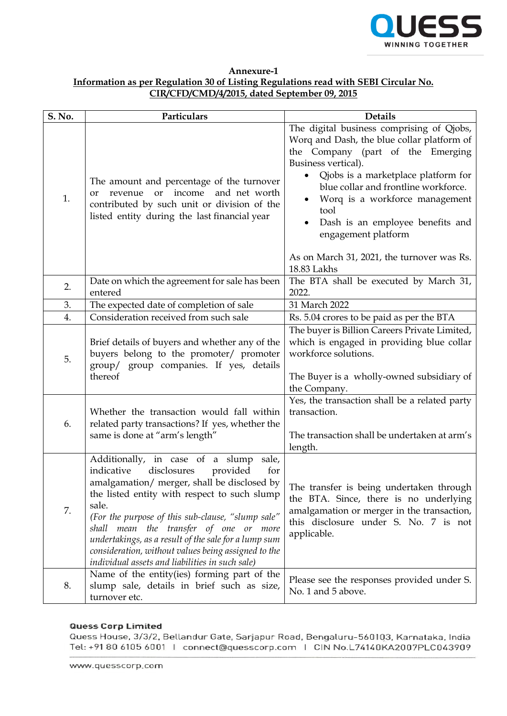

| Annexure-1                                                                          |
|-------------------------------------------------------------------------------------|
| Information as per Regulation 30 of Listing Regulations read with SEBI Circular No. |
| CIR/CFD/CMD/4/2015, dated September 09, 2015                                        |

| S. No. | Particulars                                                                                                                                                                                                                                                                                                                                                                                                                                                        | <b>Details</b>                                                                                                                                                                                                                                                                                                                                                                                                         |
|--------|--------------------------------------------------------------------------------------------------------------------------------------------------------------------------------------------------------------------------------------------------------------------------------------------------------------------------------------------------------------------------------------------------------------------------------------------------------------------|------------------------------------------------------------------------------------------------------------------------------------------------------------------------------------------------------------------------------------------------------------------------------------------------------------------------------------------------------------------------------------------------------------------------|
| 1.     | The amount and percentage of the turnover<br>revenue or income<br>and net worth<br><b>or</b><br>contributed by such unit or division of the<br>listed entity during the last financial year                                                                                                                                                                                                                                                                        | The digital business comprising of Qjobs,<br>Worq and Dash, the blue collar platform of<br>the Company (part of the Emerging<br>Business vertical).<br>Qjobs is a marketplace platform for<br>$\bullet$<br>blue collar and frontline workforce.<br>Worq is a workforce management<br>٠<br>tool<br>Dash is an employee benefits and<br>engagement platform<br>As on March 31, 2021, the turnover was Rs.<br>18.83 Lakhs |
| 2.     | Date on which the agreement for sale has been<br>entered                                                                                                                                                                                                                                                                                                                                                                                                           | The BTA shall be executed by March 31,<br>2022.                                                                                                                                                                                                                                                                                                                                                                        |
| 3.     | The expected date of completion of sale                                                                                                                                                                                                                                                                                                                                                                                                                            | 31 March 2022                                                                                                                                                                                                                                                                                                                                                                                                          |
| 4.     | Consideration received from such sale                                                                                                                                                                                                                                                                                                                                                                                                                              | Rs. 5.04 crores to be paid as per the BTA                                                                                                                                                                                                                                                                                                                                                                              |
| 5.     | Brief details of buyers and whether any of the<br>buyers belong to the promoter/ promoter<br>group/ group companies. If yes, details<br>thereof                                                                                                                                                                                                                                                                                                                    | The buyer is Billion Careers Private Limited,<br>which is engaged in providing blue collar<br>workforce solutions.<br>The Buyer is a wholly-owned subsidiary of<br>the Company.<br>Yes, the transaction shall be a related party                                                                                                                                                                                       |
| 6.     | Whether the transaction would fall within<br>related party transactions? If yes, whether the<br>same is done at "arm's length"                                                                                                                                                                                                                                                                                                                                     | transaction.<br>The transaction shall be undertaken at arm's<br>length.                                                                                                                                                                                                                                                                                                                                                |
| 7.     | Additionally, in case of a slump<br>sale,<br>indicative<br>disclosures<br>provided<br>for<br>amalgamation/ merger, shall be disclosed by<br>the listed entity with respect to such slump<br>sale.<br>(For the purpose of this sub-clause, "slump sale"<br>shall mean the transfer of one or more<br>undertakings, as a result of the sale for a lump sum<br>consideration, without values being assigned to the<br>individual assets and liabilities in such sale) | The transfer is being undertaken through<br>the BTA. Since, there is no underlying<br>amalgamation or merger in the transaction,<br>this disclosure under S. No. 7 is not<br>applicable.                                                                                                                                                                                                                               |
| 8.     | Name of the entity(ies) forming part of the<br>slump sale, details in brief such as size,<br>turnover etc.                                                                                                                                                                                                                                                                                                                                                         | Please see the responses provided under S.<br>No. 1 and 5 above.                                                                                                                                                                                                                                                                                                                                                       |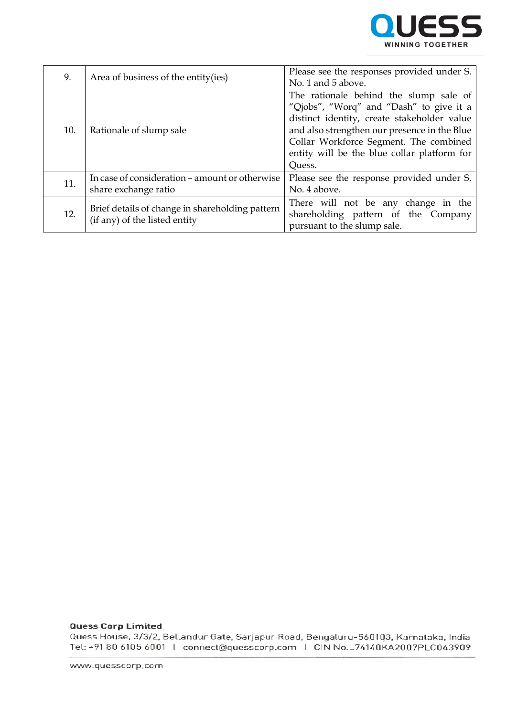

| 9.  | Area of business of the entity (ies)                                             | Please see the responses provided under S.<br>No. 1 and 5 above. |
|-----|----------------------------------------------------------------------------------|------------------------------------------------------------------|
|     |                                                                                  |                                                                  |
|     | Rationale of slump sale                                                          | The rationale behind the slump sale of                           |
|     |                                                                                  | "Qjobs", "Worq" and "Dash" to give it a                          |
|     |                                                                                  | distinct identity, create stakeholder value                      |
| 10. |                                                                                  | and also strengthen our presence in the Blue                     |
|     |                                                                                  | Collar Workforce Segment. The combined                           |
|     |                                                                                  | entity will be the blue collar platform for                      |
|     |                                                                                  | Quess.                                                           |
| 11. | In case of consideration – amount or otherwise                                   | Please see the response provided under S.                        |
|     | share exchange ratio                                                             | No. 4 above.                                                     |
| 12. | Brief details of change in shareholding pattern<br>(if any) of the listed entity | There will not be any change in the                              |
|     |                                                                                  | shareholding pattern of the Company                              |
|     |                                                                                  | pursuant to the slump sale.                                      |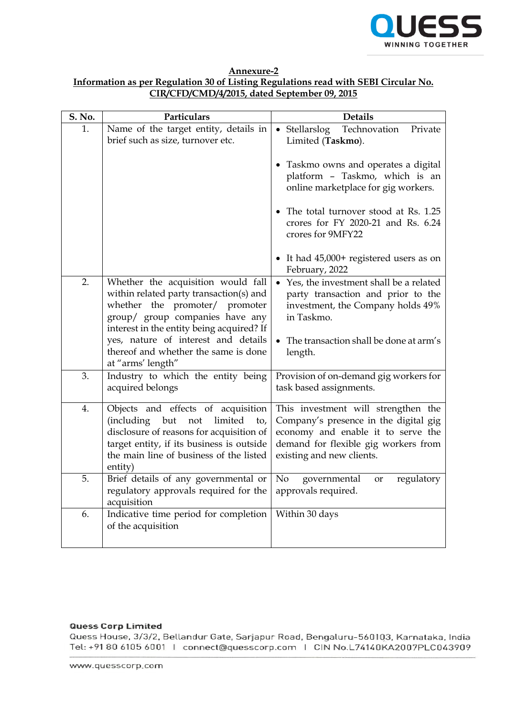

**Annexure-2**

# **Information as per Regulation 30 of Listing Regulations read with SEBI Circular No. CIR/CFD/CMD/4/2015, dated September 09, 2015**

| S. No. | Particulars                                                                                                                                                                                                                                                                    | <b>Details</b>                                                                                                                                                                          |
|--------|--------------------------------------------------------------------------------------------------------------------------------------------------------------------------------------------------------------------------------------------------------------------------------|-----------------------------------------------------------------------------------------------------------------------------------------------------------------------------------------|
| 1.     | Name of the target entity, details in<br>brief such as size, turnover etc.                                                                                                                                                                                                     | Technovation<br>• Stellarslog<br>Private<br>Limited (Taskmo).                                                                                                                           |
|        |                                                                                                                                                                                                                                                                                | • Taskmo owns and operates a digital<br>platform - Taskmo, which is an<br>online marketplace for gig workers.                                                                           |
|        |                                                                                                                                                                                                                                                                                | • The total turnover stood at Rs. 1.25<br>crores for FY 2020-21 and Rs. 6.24<br>crores for 9MFY22                                                                                       |
|        |                                                                                                                                                                                                                                                                                | • It had 45,000+ registered users as on<br>February, 2022                                                                                                                               |
| 2.     | Whether the acquisition would fall<br>within related party transaction(s) and<br>whether the promoter/ promoter<br>group/ group companies have any<br>interest in the entity being acquired? If<br>yes, nature of interest and details<br>thereof and whether the same is done | • Yes, the investment shall be a related<br>party transaction and prior to the<br>investment, the Company holds 49%<br>in Taskmo.<br>The transaction shall be done at arm's<br>length.  |
| 3.     | at "arms' length"<br>Industry to which the entity being<br>acquired belongs                                                                                                                                                                                                    | Provision of on-demand gig workers for<br>task based assignments.                                                                                                                       |
| 4.     | Objects and effects of acquisition<br>(including<br>limited<br>but<br>not<br>to,<br>disclosure of reasons for acquisition of<br>target entity, if its business is outside<br>the main line of business of the listed<br>entity)                                                | This investment will strengthen the<br>Company's presence in the digital gig<br>economy and enable it to serve the<br>demand for flexible gig workers from<br>existing and new clients. |
| 5.     | Brief details of any governmental or<br>regulatory approvals required for the<br>acquisition                                                                                                                                                                                   | No<br>regulatory<br>governmental<br>or<br>approvals required.                                                                                                                           |
| 6.     | Indicative time period for completion<br>of the acquisition                                                                                                                                                                                                                    | Within 30 days                                                                                                                                                                          |

#### **Quess Corp Limited**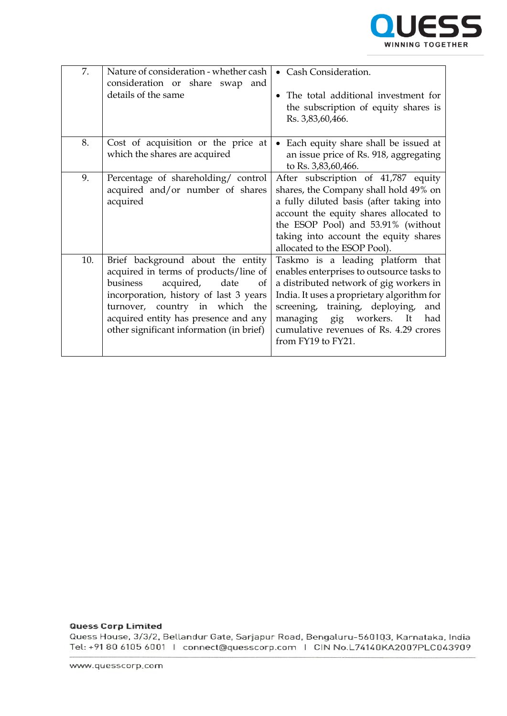

| 7.  | Nature of consideration - whether cash<br>consideration or share swap and<br>details of the same                                                                                                                                                                                  | • Cash Consideration.<br>The total additional investment for<br>the subscription of equity shares is<br>Rs. 3,83,60,466.                                                                                                                                                                                                |
|-----|-----------------------------------------------------------------------------------------------------------------------------------------------------------------------------------------------------------------------------------------------------------------------------------|-------------------------------------------------------------------------------------------------------------------------------------------------------------------------------------------------------------------------------------------------------------------------------------------------------------------------|
| 8.  | Cost of acquisition or the price at<br>which the shares are acquired                                                                                                                                                                                                              | Each equity share shall be issued at<br>$\bullet$<br>an issue price of Rs. 918, aggregating<br>to Rs. 3,83,60,466.                                                                                                                                                                                                      |
| 9.  | Percentage of shareholding/control<br>acquired and/or number of shares<br>acquired                                                                                                                                                                                                | After subscription of 41,787 equity<br>shares, the Company shall hold 49% on<br>a fully diluted basis (after taking into<br>account the equity shares allocated to<br>the ESOP Pool) and 53.91% (without<br>taking into account the equity shares<br>allocated to the ESOP Pool).                                       |
| 10. | Brief background about the entity<br>acquired in terms of products/line of<br>acquired,<br>business<br>date<br>of<br>incorporation, history of last 3 years<br>turnover, country in which the<br>acquired entity has presence and any<br>other significant information (in brief) | Taskmo is a leading platform that<br>enables enterprises to outsource tasks to<br>a distributed network of gig workers in<br>India. It uses a proprietary algorithm for<br>screening, training, deploying,<br>and<br>managing gig workers.<br>It<br>had<br>cumulative revenues of Rs. 4.29 crores<br>from FY19 to FY21. |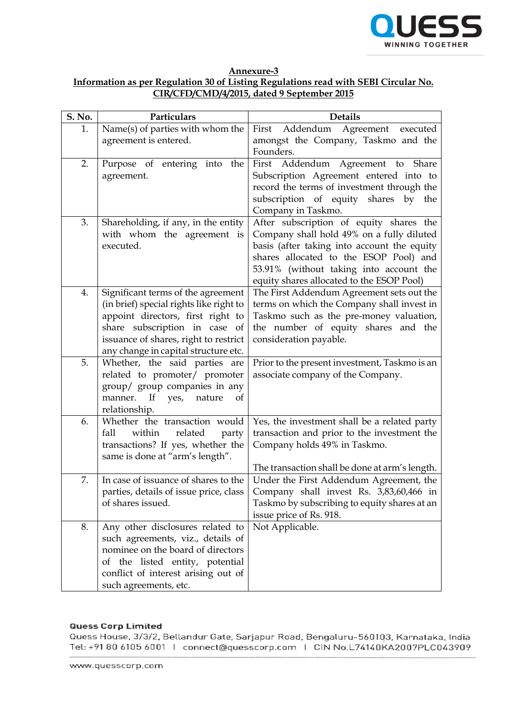

**Annexure-3 Information as per Regulation 30 of Listing Regulations read with SEBI Circular No. CIR/CFD/CMD/4/2015, dated 9 September 2015**

| S. No. | Particulars                                                                                                                                                                                                                          | <b>Details</b>                                                                                                                                                                                                                                                        |
|--------|--------------------------------------------------------------------------------------------------------------------------------------------------------------------------------------------------------------------------------------|-----------------------------------------------------------------------------------------------------------------------------------------------------------------------------------------------------------------------------------------------------------------------|
| 1.     | Name(s) of parties with whom the<br>agreement is entered.                                                                                                                                                                            | Agreement executed<br>Addendum<br>First<br>amongst the Company, Taskmo and the<br>Founders.                                                                                                                                                                           |
| 2.     | Purpose of entering into the<br>agreement.                                                                                                                                                                                           | First Addendum Agreement to Share<br>Subscription Agreement entered into to<br>record the terms of investment through the<br>subscription of equity shares by the<br>Company in Taskmo.                                                                               |
| 3.     | Shareholding, if any, in the entity<br>with whom the agreement is<br>executed.                                                                                                                                                       | After subscription of equity shares the<br>Company shall hold 49% on a fully diluted<br>basis (after taking into account the equity<br>shares allocated to the ESOP Pool) and<br>53.91% (without taking into account the<br>equity shares allocated to the ESOP Pool) |
| 4.     | Significant terms of the agreement<br>(in brief) special rights like right to<br>appoint directors, first right to<br>share subscription in case of<br>issuance of shares, right to restrict<br>any change in capital structure etc. | The First Addendum Agreement sets out the<br>terms on which the Company shall invest in<br>Taskmo such as the pre-money valuation,<br>the number of equity shares and the<br>consideration payable.                                                                   |
| 5.     | Whether, the said parties are<br>related to promoter/ promoter<br>group/ group companies in any<br>manner. If<br>yes,<br>nature<br>of<br>relationship.                                                                               | Prior to the present investment, Taskmo is an<br>associate company of the Company.                                                                                                                                                                                    |
| 6.     | Whether the transaction would<br>fall<br>within<br>related<br>party<br>transactions? If yes, whether the<br>same is done at "arm's length".                                                                                          | Yes, the investment shall be a related party<br>transaction and prior to the investment the<br>Company holds 49% in Taskmo.<br>The transaction shall be done at arm's length.                                                                                         |
| 7.     | In case of issuance of shares to the<br>parties, details of issue price, class<br>of shares issued.                                                                                                                                  | Under the First Addendum Agreement, the<br>Company shall invest Rs. 3,83,60,466 in<br>Taskmo by subscribing to equity shares at an<br>issue price of Rs. 918.                                                                                                         |
| 8.     | Any other disclosures related to<br>such agreements, viz., details of<br>nominee on the board of directors<br>of the listed entity, potential<br>conflict of interest arising out of<br>such agreements, etc.                        | Not Applicable.                                                                                                                                                                                                                                                       |

## **Quess Corp Limited**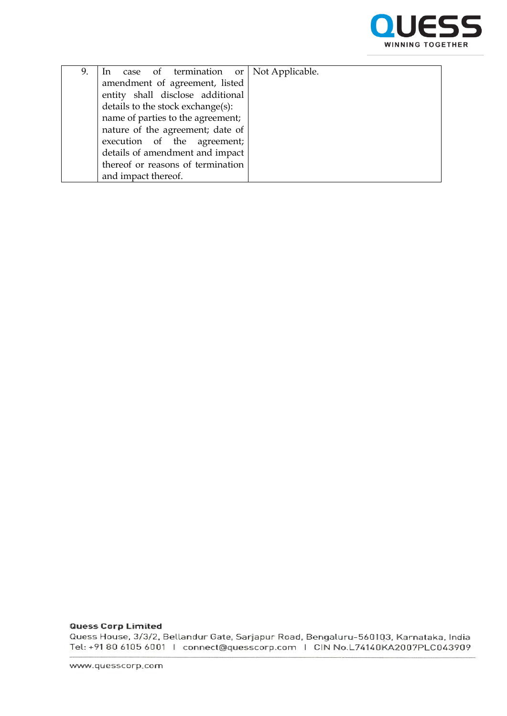

| 9. | In case of termination or Not Applicable. |  |
|----|-------------------------------------------|--|
|    | amendment of agreement, listed            |  |
|    | entity shall disclose additional          |  |
|    | details to the stock exchange(s):         |  |
|    | name of parties to the agreement;         |  |
|    | nature of the agreement; date of          |  |
|    | execution of the agreement;               |  |
|    | details of amendment and impact           |  |
|    | thereof or reasons of termination         |  |
|    | and impact thereof.                       |  |